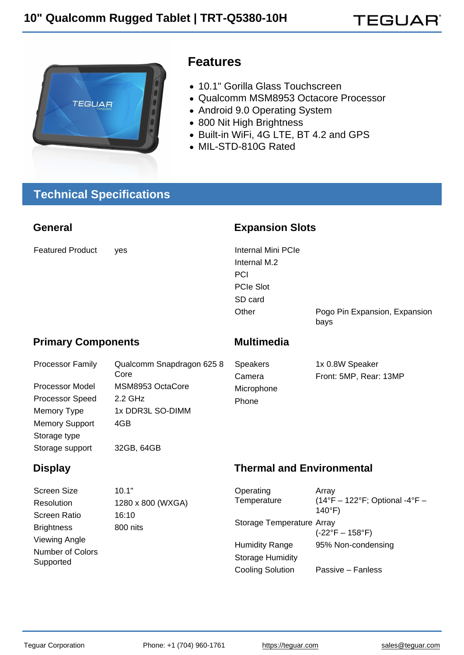**TEGUAR**®

## Features

- 10.1" Gorilla Glass Touchscreen
- Qualcomm MSM8953 Octacore Processor
- Android 9.0 Operating System
- 800 Nit High Brightness
- Built-in WiFi, 4G LTE, BT 4.2 and GPS
- MIL-STD-810G Rated

# Technical Specifications

|                                                                                                           | <b>Expansion Slots</b>                                                                                    |                                                                                                                    |  |  |
|-----------------------------------------------------------------------------------------------------------|-----------------------------------------------------------------------------------------------------------|--------------------------------------------------------------------------------------------------------------------|--|--|
| yes                                                                                                       | <b>Internal Mini PCIe</b><br>Internal M.2<br>PCI<br><b>PCIe Slot</b><br>SD card<br>Other                  | Pogo Pin Expansion, Expansion<br>bays                                                                              |  |  |
| <b>Primary Components</b>                                                                                 |                                                                                                           | Multimedia                                                                                                         |  |  |
| Qualcomm Snapdragon 625 8<br>Core<br>MSM8953 OctaCore<br>2.2 GHz<br>1x DDR3L SO-DIMM<br>4GB<br>32GB, 64GB | <b>Speakers</b><br>Camera<br>Microphone<br>Phone                                                          | 1x 0.8W Speaker<br>Front: 5MP, Rear: 13MP                                                                          |  |  |
|                                                                                                           | <b>Thermal and Environmental</b>                                                                          |                                                                                                                    |  |  |
| 10.1"<br>1280 x 800 (WXGA)<br>16:10<br>800 nits                                                           | Operating<br>Temperature<br>Storage Temperature Array<br><b>Humidity Range</b><br><b>Storage Humidity</b> | Array<br>(14°F - 122°F; Optional -4°F -<br>$140^{\circ}F$<br>$(-22^{\circ}F - 158^{\circ}F)$<br>95% Non-condensing |  |  |
|                                                                                                           |                                                                                                           |                                                                                                                    |  |  |

Cooling Solution Passive – Fanless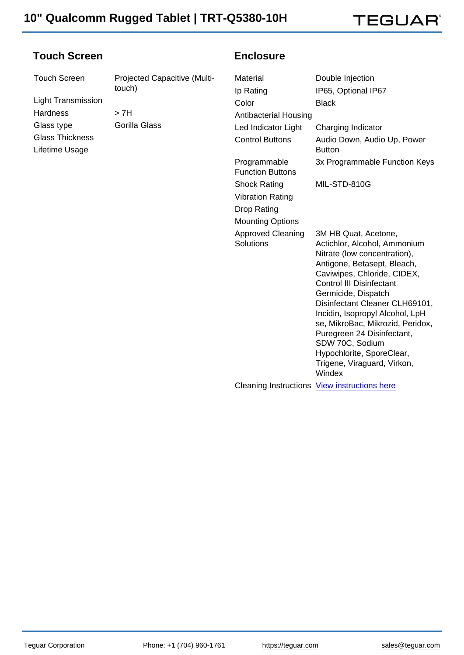**TEGUAR**®

#### Touch Screen

Light Transmission Hardness > 7H Glass type **Gorilla Glass** Glass Thickness

Lifetime Usage

Touch Screen Projected Capacitive (Multitouch)

#### **Enclosure**

| Material                                | Double Injection                                                                                                                                                                                                                                                                                                                                                                                                                             |
|-----------------------------------------|----------------------------------------------------------------------------------------------------------------------------------------------------------------------------------------------------------------------------------------------------------------------------------------------------------------------------------------------------------------------------------------------------------------------------------------------|
| Ip Rating                               | IP65, Optional IP67                                                                                                                                                                                                                                                                                                                                                                                                                          |
| Color                                   | <b>Black</b>                                                                                                                                                                                                                                                                                                                                                                                                                                 |
| <b>Antibacterial Housing</b>            |                                                                                                                                                                                                                                                                                                                                                                                                                                              |
| Led Indicator Light                     | Charging Indicator                                                                                                                                                                                                                                                                                                                                                                                                                           |
| <b>Control Buttons</b>                  | Audio Down, Audio Up, Power<br><b>Button</b>                                                                                                                                                                                                                                                                                                                                                                                                 |
| Programmable<br><b>Function Buttons</b> | 3x Programmable Function Keys                                                                                                                                                                                                                                                                                                                                                                                                                |
| <b>Shock Rating</b>                     | MIL-STD-810G                                                                                                                                                                                                                                                                                                                                                                                                                                 |
| <b>Vibration Rating</b>                 |                                                                                                                                                                                                                                                                                                                                                                                                                                              |
| Drop Rating                             |                                                                                                                                                                                                                                                                                                                                                                                                                                              |
| <b>Mounting Options</b>                 |                                                                                                                                                                                                                                                                                                                                                                                                                                              |
| <b>Approved Cleaning</b><br>Solutions   | 3M HB Quat, Acetone,<br>Actichlor, Alcohol, Ammonium<br>Nitrate (low concentration),<br>Antigone, Betasept, Bleach,<br>Caviwipes, Chloride, CIDEX,<br><b>Control III Disinfectant</b><br>Germicide, Dispatch<br>Disinfectant Cleaner CLH69101,<br>Incidin, Isopropyl Alcohol, LpH<br>se, MikroBac, Mikrozid, Peridox,<br>Puregreen 24 Disinfectant,<br>SDW 70C, Sodium<br>Hypochlorite, SporeClear,<br>Trigene, Viraguard, Virkon,<br>Windex |
|                                         | Cleaning Instructions View instructions here                                                                                                                                                                                                                                                                                                                                                                                                 |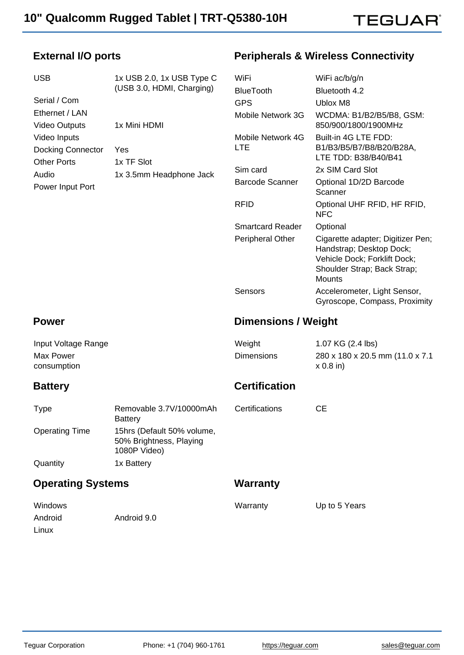

### External I/O ports

## Peripherals & Wireless Connectivity

| <b>USB</b>                                                     | 1x USB 2.0, 1x USB Type C                                             | WiFi                            | WiFi ac/b/g/n                                                                                                                                 |
|----------------------------------------------------------------|-----------------------------------------------------------------------|---------------------------------|-----------------------------------------------------------------------------------------------------------------------------------------------|
|                                                                | (USB 3.0, HDMI, Charging)                                             | <b>BlueTooth</b>                | Bluetooth 4.2                                                                                                                                 |
| Serial / Com                                                   |                                                                       | <b>GPS</b>                      | <b>Ublox M8</b>                                                                                                                               |
| Ethernet / LAN<br>Video Outputs                                | 1x Mini HDMI                                                          | Mobile Network 3G               | WCDMA: B1/B2/B5/B8, GSM:<br>850/900/1800/1900MHz                                                                                              |
| Video Inputs<br><b>Docking Connector</b><br><b>Other Ports</b> | Yes<br>1x TF Slot                                                     | Mobile Network 4G<br><b>LTE</b> | Built-in 4G LTE FDD:<br>B1/B3/B5/B7/B8/B20/B28A,<br>LTE TDD: B38/B40/B41                                                                      |
| Audio                                                          | 1x 3.5mm Headphone Jack                                               | Sim card                        | 2x SIM Card Slot                                                                                                                              |
| Power Input Port                                               |                                                                       | <b>Barcode Scanner</b>          | Optional 1D/2D Barcode<br>Scanner                                                                                                             |
|                                                                |                                                                       | <b>RFID</b>                     | Optional UHF RFID, HF RFID,<br><b>NFC</b>                                                                                                     |
|                                                                |                                                                       | <b>Smartcard Reader</b>         | Optional                                                                                                                                      |
|                                                                |                                                                       | Peripheral Other                | Cigarette adapter; Digitizer Pen;<br>Handstrap; Desktop Dock;<br>Vehicle Dock; Forklift Dock;<br>Shoulder Strap; Back Strap;<br><b>Mounts</b> |
|                                                                |                                                                       | Sensors                         | Accelerometer, Light Sensor,<br>Gyroscope, Compass, Proximity                                                                                 |
| Power                                                          |                                                                       | Dimensions / Weight             |                                                                                                                                               |
| Input Voltage Range                                            |                                                                       | Weight                          | 1.07 KG (2.4 lbs)                                                                                                                             |
| Max Power<br>consumption                                       |                                                                       | <b>Dimensions</b>               | 280 x 180 x 20.5 mm (11.0 x 7.1)<br>$x 0.8$ in)                                                                                               |
| <b>Battery</b>                                                 |                                                                       | Certification                   |                                                                                                                                               |
| <b>Type</b>                                                    | Removable 3.7V/10000mAh<br><b>Battery</b>                             | Certifications                  | <b>CE</b>                                                                                                                                     |
| <b>Operating Time</b>                                          | 15hrs (Default 50% volume,<br>50% Brightness, Playing<br>1080P Video) |                                 |                                                                                                                                               |
| Quantity                                                       | 1x Battery                                                            |                                 |                                                                                                                                               |
| <b>Operating Systems</b>                                       |                                                                       | Warranty                        |                                                                                                                                               |
| Windows<br>Android<br>Linux                                    | Android 9.0                                                           | Warranty                        | Up to 5 Years                                                                                                                                 |